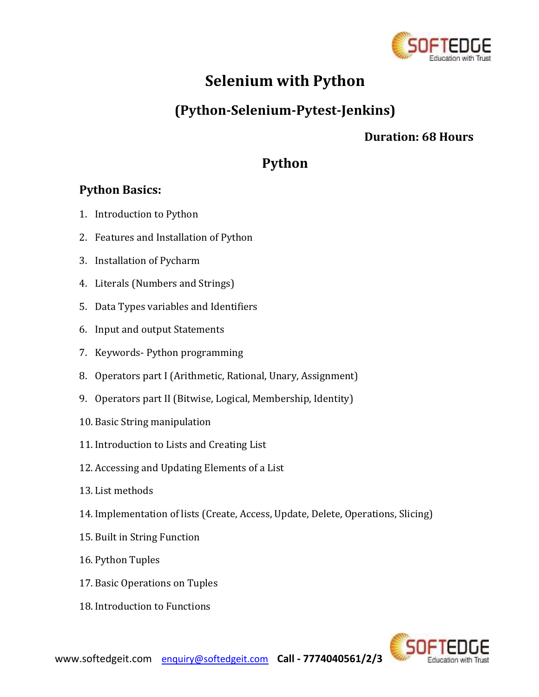

# **Selenium with Python**

## **(Python-Selenium-Pytest-Jenkins)**

**Duration: 68 Hours**

## **Python**

### **Python Basics:**

- 1. Introduction to Python
- 2. Features and Installation of Python
- 3. Installation of Pycharm
- 4. Literals (Numbers and Strings)
- 5. Data Types variables and Identifiers
- 6. Input and output Statements
- 7. Keywords- Python programming
- 8. Operators part I (Arithmetic, Rational, Unary, Assignment)
- 9. Operators part II (Bitwise, Logical, Membership, Identity)
- 10. Basic String manipulation
- 11. Introduction to Lists and Creating List
- 12. Accessing and Updating Elements of a List
- 13. List methods
- 14. Implementation of lists (Create, Access, Update, Delete, Operations, Slicing)
- 15. Built in String Function
- 16. Python Tuples
- 17. Basic Operations on Tuples
- 18. Introduction to Functions

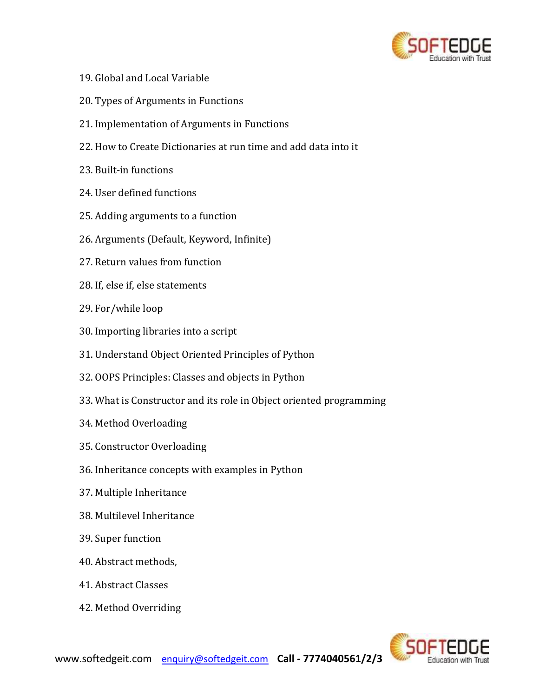

- 19. Global and Local Variable
- 20. Types of Arguments in Functions
- 21. Implementation of Arguments in Functions
- 22. How to Create Dictionaries at run time and add data into it
- 23. Built-in functions
- 24. User defined functions
- 25. Adding arguments to a function
- 26. Arguments (Default, Keyword, Infinite)
- 27. Return values from function
- 28. If, else if, else statements
- 29. For/while loop
- 30. Importing libraries into a script
- 31. Understand Object Oriented Principles of Python
- 32. OOPS Principles: Classes and objects in Python
- 33. What is Constructor and its role in Object oriented programming
- 34. Method Overloading
- 35. Constructor Overloading
- 36. Inheritance concepts with examples in Python
- 37. Multiple Inheritance
- 38. Multilevel Inheritance
- 39. Super function
- 40. Abstract methods,
- 41. Abstract Classes
- 42. Method Overriding

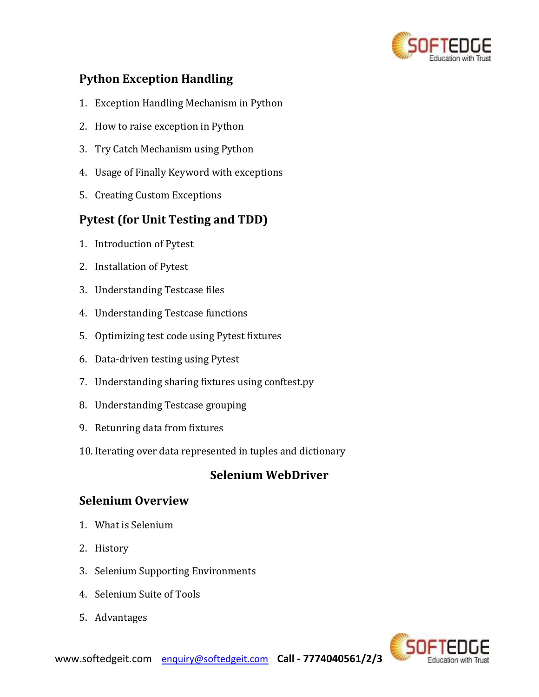

## **Python Exception Handling**

- 1. Exception Handling Mechanism in Python
- 2. How to raise exception in Python
- 3. Try Catch Mechanism using Python
- 4. Usage of Finally Keyword with exceptions
- 5. Creating Custom Exceptions

### **Pytest (for Unit Testing and TDD)**

- 1. Introduction of Pytest
- 2. Installation of Pytest
- 3. Understanding Testcase files
- 4. Understanding Testcase functions
- 5. Optimizing test code using Pytest fixtures
- 6. Data-driven testing using Pytest
- 7. Understanding sharing fixtures using conftest.py
- 8. Understanding Testcase grouping
- 9. Retunring data from fixtures
- 10. Iterating over data represented in tuples and dictionary

#### **Selenium WebDriver**

#### **Selenium Overview**

- 1. What is Selenium
- 2. History
- 3. Selenium Supporting Environments
- 4. Selenium Suite of Tools
- 5. Advantages

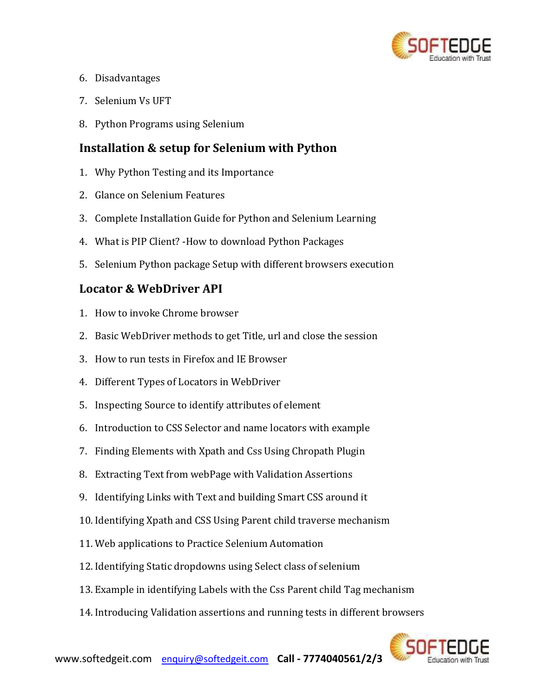

- 6. Disadvantages
- 7. Selenium Vs UFT
- 8. Python Programs using Selenium

#### **Installation & setup for Selenium with Python**

- 1. Why Python Testing and its Importance
- 2. Glance on Selenium Features
- 3. Complete Installation Guide for Python and Selenium Learning
- 4. What is PIP Client? -How to download Python Packages
- 5. Selenium Python package Setup with different browsers execution

#### **Locator & WebDriver API**

- 1. How to invoke Chrome browser
- 2. Basic WebDriver methods to get Title, url and close the session
- 3. How to run tests in Firefox and IE Browser
- 4. Different Types of Locators in WebDriver
- 5. Inspecting Source to identify attributes of element
- 6. Introduction to CSS Selector and name locators with example
- 7. Finding Elements with Xpath and Css Using Chropath Plugin
- 8. Extracting Text from webPage with Validation Assertions
- 9. Identifying Links with Text and building Smart CSS around it
- 10. Identifying Xpath and CSS Using Parent child traverse mechanism
- 11. Web applications to Practice Selenium Automation
- 12. Identifying Static dropdowns using Select class of selenium
- 13. Example in identifying Labels with the Css Parent child Tag mechanism
- 14. Introducing Validation assertions and running tests in different browsers